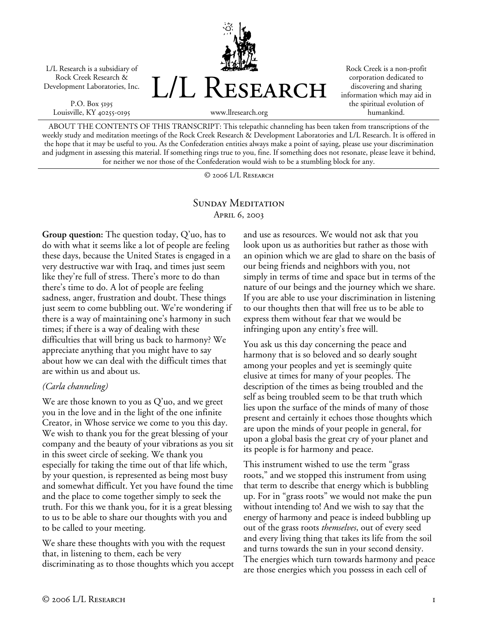L/L Research is a subsidiary of Rock Creek Research & Development Laboratories, Inc.

P.O. Box 5195 Louisville, KY 40255-0195



Rock Creek is a non-profit corporation dedicated to discovering and sharing information which may aid in the spiritual evolution of humankind.

ABOUT THE CONTENTS OF THIS TRANSCRIPT: This telepathic channeling has been taken from transcriptions of the weekly study and meditation meetings of the Rock Creek Research & Development Laboratories and L/L Research. It is offered in the hope that it may be useful to you. As the Confederation entities always make a point of saying, please use your discrimination and judgment in assessing this material. If something rings true to you, fine. If something does not resonate, please leave it behind, for neither we nor those of the Confederation would wish to be a stumbling block for any.

© 2006 L/L Research

## SUNDAY MEDITATION April 6, 2003

**Group question:** The question today, Q'uo, has to do with what it seems like a lot of people are feeling these days, because the United States is engaged in a very destructive war with Iraq, and times just seem like they're full of stress. There's more to do than there's time to do. A lot of people are feeling sadness, anger, frustration and doubt. These things just seem to come bubbling out. We're wondering if there is a way of maintaining one's harmony in such times; if there is a way of dealing with these difficulties that will bring us back to harmony? We appreciate anything that you might have to say about how we can deal with the difficult times that are within us and about us.

#### *(Carla channeling)*

We are those known to you as Q'uo, and we greet you in the love and in the light of the one infinite Creator, in Whose service we come to you this day. We wish to thank you for the great blessing of your company and the beauty of your vibrations as you sit in this sweet circle of seeking. We thank you especially for taking the time out of that life which, by your question, is represented as being most busy and somewhat difficult. Yet you have found the time and the place to come together simply to seek the truth. For this we thank you, for it is a great blessing to us to be able to share our thoughts with you and to be called to your meeting.

We share these thoughts with you with the request that, in listening to them, each be very discriminating as to those thoughts which you accept and use as resources. We would not ask that you look upon us as authorities but rather as those with an opinion which we are glad to share on the basis of our being friends and neighbors with you, not simply in terms of time and space but in terms of the nature of our beings and the journey which we share. If you are able to use your discrimination in listening to our thoughts then that will free us to be able to express them without fear that we would be infringing upon any entity's free will.

You ask us this day concerning the peace and harmony that is so beloved and so dearly sought among your peoples and yet is seemingly quite elusive at times for many of your peoples. The description of the times as being troubled and the self as being troubled seem to be that truth which lies upon the surface of the minds of many of those present and certainly it echoes those thoughts which are upon the minds of your people in general, for upon a global basis the great cry of your planet and its people is for harmony and peace.

This instrument wished to use the term "grass roots," and we stopped this instrument from using that term to describe that energy which is bubbling up. For in "grass roots" we would not make the pun without intending to! And we wish to say that the energy of harmony and peace is indeed bubbling up out of the grass roots *themselves*, out of every seed and every living thing that takes its life from the soil and turns towards the sun in your second density. The energies which turn towards harmony and peace are those energies which you possess in each cell of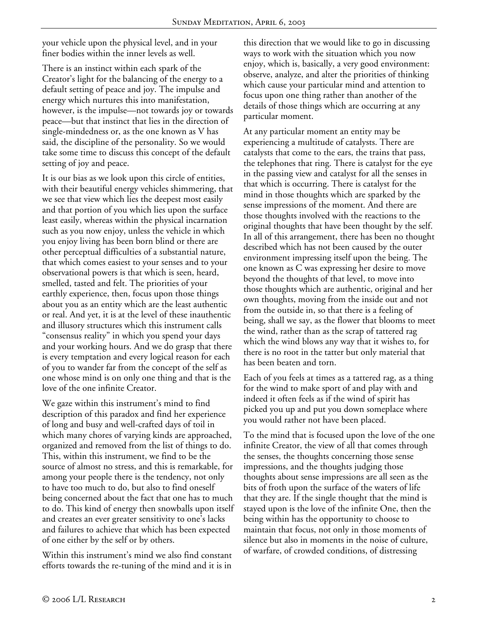your vehicle upon the physical level, and in your finer bodies within the inner levels as well.

There is an instinct within each spark of the Creator's light for the balancing of the energy to a default setting of peace and joy. The impulse and energy which nurtures this into manifestation, however, is the impulse—not towards joy or towards peace—but that instinct that lies in the direction of single-mindedness or, as the one known as V has said, the discipline of the personality. So we would take some time to discuss this concept of the default setting of joy and peace.

It is our bias as we look upon this circle of entities, with their beautiful energy vehicles shimmering, that we see that view which lies the deepest most easily and that portion of you which lies upon the surface least easily, whereas within the physical incarnation such as you now enjoy, unless the vehicle in which you enjoy living has been born blind or there are other perceptual difficulties of a substantial nature, that which comes easiest to your senses and to your observational powers is that which is seen, heard, smelled, tasted and felt. The priorities of your earthly experience, then, focus upon those things about you as an entity which are the least authentic or real. And yet, it is at the level of these inauthentic and illusory structures which this instrument calls "consensus reality" in which you spend your days and your working hours. And we do grasp that there is every temptation and every logical reason for each of you to wander far from the concept of the self as one whose mind is on only one thing and that is the love of the one infinite Creator.

We gaze within this instrument's mind to find description of this paradox and find her experience of long and busy and well-crafted days of toil in which many chores of varying kinds are approached, organized and removed from the list of things to do. This, within this instrument, we find to be the source of almost no stress, and this is remarkable, for among your people there is the tendency, not only to have too much to do, but also to find oneself being concerned about the fact that one has to much to do. This kind of energy then snowballs upon itself and creates an ever greater sensitivity to one's lacks and failures to achieve that which has been expected of one either by the self or by others.

Within this instrument's mind we also find constant efforts towards the re-tuning of the mind and it is in this direction that we would like to go in discussing ways to work with the situation which you now enjoy, which is, basically, a very good environment: observe, analyze, and alter the priorities of thinking which cause your particular mind and attention to focus upon one thing rather than another of the details of those things which are occurring at any particular moment.

At any particular moment an entity may be experiencing a multitude of catalysts. There are catalysts that come to the ears, the trains that pass, the telephones that ring. There is catalyst for the eye in the passing view and catalyst for all the senses in that which is occurring. There is catalyst for the mind in those thoughts which are sparked by the sense impressions of the moment. And there are those thoughts involved with the reactions to the original thoughts that have been thought by the self. In all of this arrangement, there has been no thought described which has not been caused by the outer environment impressing itself upon the being. The one known as C was expressing her desire to move beyond the thoughts of that level, to move into those thoughts which are authentic, original and her own thoughts, moving from the inside out and not from the outside in, so that there is a feeling of being, shall we say, as the flower that blooms to meet the wind, rather than as the scrap of tattered rag which the wind blows any way that it wishes to, for there is no root in the tatter but only material that has been beaten and torn.

Each of you feels at times as a tattered rag, as a thing for the wind to make sport of and play with and indeed it often feels as if the wind of spirit has picked you up and put you down someplace where you would rather not have been placed.

To the mind that is focused upon the love of the one infinite Creator, the view of all that comes through the senses, the thoughts concerning those sense impressions, and the thoughts judging those thoughts about sense impressions are all seen as the bits of froth upon the surface of the waters of life that they are. If the single thought that the mind is stayed upon is the love of the infinite One, then the being within has the opportunity to choose to maintain that focus, not only in those moments of silence but also in moments in the noise of culture, of warfare, of crowded conditions, of distressing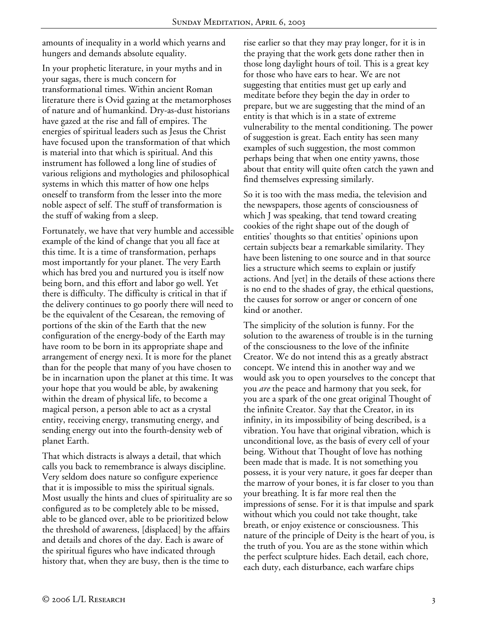amounts of inequality in a world which yearns and hungers and demands absolute equality.

In your prophetic literature, in your myths and in your sagas, there is much concern for transformational times. Within ancient Roman literature there is Ovid gazing at the metamorphoses of nature and of humankind. Dry-as-dust historians have gazed at the rise and fall of empires. The energies of spiritual leaders such as Jesus the Christ have focused upon the transformation of that which is material into that which is spiritual. And this instrument has followed a long line of studies of various religions and mythologies and philosophical systems in which this matter of how one helps oneself to transform from the lesser into the more noble aspect of self. The stuff of transformation is the stuff of waking from a sleep.

Fortunately, we have that very humble and accessible example of the kind of change that you all face at this time. It is a time of transformation, perhaps most importantly for your planet. The very Earth which has bred you and nurtured you is itself now being born, and this effort and labor go well. Yet there is difficulty. The difficulty is critical in that if the delivery continues to go poorly there will need to be the equivalent of the Cesarean, the removing of portions of the skin of the Earth that the new configuration of the energy-body of the Earth may have room to be born in its appropriate shape and arrangement of energy nexi. It is more for the planet than for the people that many of you have chosen to be in incarnation upon the planet at this time. It was your hope that you would be able, by awakening within the dream of physical life, to become a magical person, a person able to act as a crystal entity, receiving energy, transmuting energy, and sending energy out into the fourth-density web of planet Earth.

That which distracts is always a detail, that which calls you back to remembrance is always discipline. Very seldom does nature so configure experience that it is impossible to miss the spiritual signals. Most usually the hints and clues of spirituality are so configured as to be completely able to be missed, able to be glanced over, able to be prioritized below the threshold of awareness, [displaced] by the affairs and details and chores of the day. Each is aware of the spiritual figures who have indicated through history that, when they are busy, then is the time to

rise earlier so that they may pray longer, for it is in the praying that the work gets done rather then in those long daylight hours of toil. This is a great key for those who have ears to hear. We are not suggesting that entities must get up early and meditate before they begin the day in order to prepare, but we are suggesting that the mind of an entity is that which is in a state of extreme vulnerability to the mental conditioning. The power of suggestion is great. Each entity has seen many examples of such suggestion, the most common perhaps being that when one entity yawns, those about that entity will quite often catch the yawn and find themselves expressing similarly.

So it is too with the mass media, the television and the newspapers, those agents of consciousness of which J was speaking, that tend toward creating cookies of the right shape out of the dough of entities' thoughts so that entities' opinions upon certain subjects bear a remarkable similarity. They have been listening to one source and in that source lies a structure which seems to explain or justify actions. And [yet] in the details of these actions there is no end to the shades of gray, the ethical questions, the causes for sorrow or anger or concern of one kind or another.

The simplicity of the solution is funny. For the solution to the awareness of trouble is in the turning of the consciousness to the love of the infinite Creator. We do not intend this as a greatly abstract concept. We intend this in another way and we would ask you to open yourselves to the concept that you *are* the peace and harmony that you seek, for you are a spark of the one great original Thought of the infinite Creator. Say that the Creator, in its infinity, in its impossibility of being described, is a vibration. You have that original vibration, which is unconditional love, as the basis of every cell of your being. Without that Thought of love has nothing been made that is made. It is not something you possess, it is your very nature, it goes far deeper than the marrow of your bones, it is far closer to you than your breathing. It is far more real then the impressions of sense. For it is that impulse and spark without which you could not take thought, take breath, or enjoy existence or consciousness. This nature of the principle of Deity is the heart of you, is the truth of you. You are as the stone within which the perfect sculpture hides. Each detail, each chore, each duty, each disturbance, each warfare chips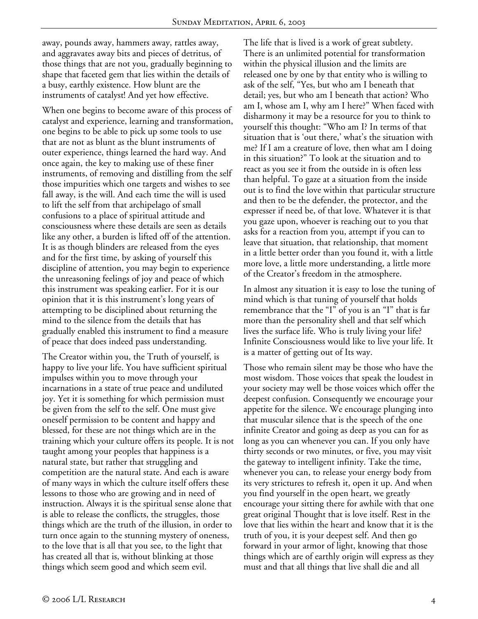away, pounds away, hammers away, rattles away, and aggravates away bits and pieces of detritus, of those things that are not you, gradually beginning to shape that faceted gem that lies within the details of a busy, earthly existence. How blunt are the instruments of catalyst! And yet how effective.

When one begins to become aware of this process of catalyst and experience, learning and transformation, one begins to be able to pick up some tools to use that are not as blunt as the blunt instruments of outer experience, things learned the hard way. And once again, the key to making use of these finer instruments, of removing and distilling from the self those impurities which one targets and wishes to see fall away, is the will. And each time the will is used to lift the self from that archipelago of small confusions to a place of spiritual attitude and consciousness where these details are seen as details like any other, a burden is lifted off of the attention. It is as though blinders are released from the eyes and for the first time, by asking of yourself this discipline of attention, you may begin to experience the unreasoning feelings of joy and peace of which this instrument was speaking earlier. For it is our opinion that it is this instrument's long years of attempting to be disciplined about returning the mind to the silence from the details that has gradually enabled this instrument to find a measure of peace that does indeed pass understanding.

The Creator within you, the Truth of yourself, is happy to live your life. You have sufficient spiritual impulses within you to move through your incarnations in a state of true peace and undiluted joy. Yet it is something for which permission must be given from the self to the self. One must give oneself permission to be content and happy and blessed, for these are not things which are in the training which your culture offers its people. It is not taught among your peoples that happiness is a natural state, but rather that struggling and competition are the natural state. And each is aware of many ways in which the culture itself offers these lessons to those who are growing and in need of instruction. Always it is the spiritual sense alone that is able to release the conflicts, the struggles, those things which are the truth of the illusion, in order to turn once again to the stunning mystery of oneness, to the love that is all that you see, to the light that has created all that is, without blinking at those things which seem good and which seem evil.

The life that is lived is a work of great subtlety. There is an unlimited potential for transformation within the physical illusion and the limits are released one by one by that entity who is willing to ask of the self, "Yes, but who am I beneath that detail; yes, but who am I beneath that action? Who am I, whose am I, why am I here?" When faced with disharmony it may be a resource for you to think to yourself this thought: "Who am I? In terms of that situation that is 'out there,' what's the situation with me? If I am a creature of love, then what am I doing in this situation?" To look at the situation and to react as you see it from the outside in is often less than helpful. To gaze at a situation from the inside out is to find the love within that particular structure and then to be the defender, the protector, and the expresser if need be, of that love. Whatever it is that you gaze upon, whoever is reaching out to you that asks for a reaction from you, attempt if you can to leave that situation, that relationship, that moment in a little better order than you found it, with a little more love, a little more understanding, a little more of the Creator's freedom in the atmosphere.

In almost any situation it is easy to lose the tuning of mind which is that tuning of yourself that holds remembrance that the "I" of you is an "I" that is far more than the personality shell and that self which lives the surface life. Who is truly living your life? Infinite Consciousness would like to live your life. It is a matter of getting out of Its way.

Those who remain silent may be those who have the most wisdom. Those voices that speak the loudest in your society may well be those voices which offer the deepest confusion. Consequently we encourage your appetite for the silence. We encourage plunging into that muscular silence that is the speech of the one infinite Creator and going as deep as you can for as long as you can whenever you can. If you only have thirty seconds or two minutes, or five, you may visit the gateway to intelligent infinity. Take the time, whenever you can, to release your energy body from its very strictures to refresh it, open it up. And when you find yourself in the open heart, we greatly encourage your sitting there for awhile with that one great original Thought that is love itself. Rest in the love that lies within the heart and know that it is the truth of you, it is your deepest self. And then go forward in your armor of light, knowing that those things which are of earthly origin will express as they must and that all things that live shall die and all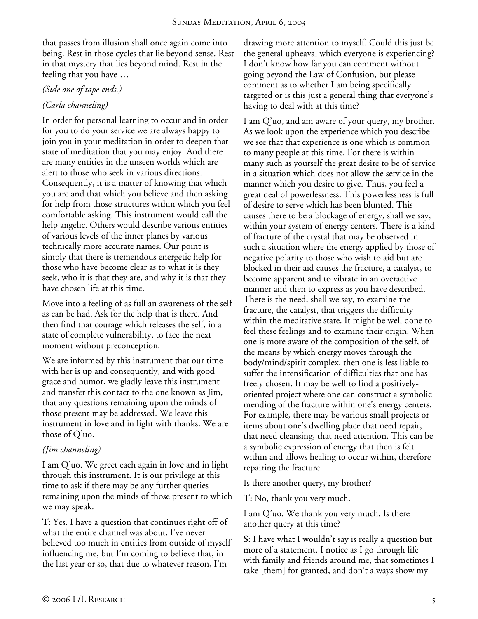that passes from illusion shall once again come into being. Rest in those cycles that lie beyond sense. Rest in that mystery that lies beyond mind. Rest in the feeling that you have …

#### *(Side one of tape ends.)*

## *(Carla channeling)*

In order for personal learning to occur and in order for you to do your service we are always happy to join you in your meditation in order to deepen that state of meditation that you may enjoy. And there are many entities in the unseen worlds which are alert to those who seek in various directions. Consequently, it is a matter of knowing that which you are and that which you believe and then asking for help from those structures within which you feel comfortable asking. This instrument would call the help angelic. Others would describe various entities of various levels of the inner planes by various technically more accurate names. Our point is simply that there is tremendous energetic help for those who have become clear as to what it is they seek, who it is that they are, and why it is that they have chosen life at this time.

Move into a feeling of as full an awareness of the self as can be had. Ask for the help that is there. And then find that courage which releases the self, in a state of complete vulnerability, to face the next moment without preconception.

We are informed by this instrument that our time with her is up and consequently, and with good grace and humor, we gladly leave this instrument and transfer this contact to the one known as Jim, that any questions remaining upon the minds of those present may be addressed. We leave this instrument in love and in light with thanks. We are those of Q'uo.

# *(Jim channeling)*

I am Q'uo. We greet each again in love and in light through this instrument. It is our privilege at this time to ask if there may be any further queries remaining upon the minds of those present to which we may speak.

**T:** Yes. I have a question that continues right off of what the entire channel was about. I've never believed too much in entities from outside of myself influencing me, but I'm coming to believe that, in the last year or so, that due to whatever reason, I'm

drawing more attention to myself. Could this just be the general upheaval which everyone is experiencing? I don't know how far you can comment without going beyond the Law of Confusion, but please comment as to whether I am being specifically targeted or is this just a general thing that everyone's having to deal with at this time?

I am Q'uo, and am aware of your query, my brother. As we look upon the experience which you describe we see that that experience is one which is common to many people at this time. For there is within many such as yourself the great desire to be of service in a situation which does not allow the service in the manner which you desire to give. Thus, you feel a great deal of powerlessness. This powerlessness is full of desire to serve which has been blunted. This causes there to be a blockage of energy, shall we say, within your system of energy centers. There is a kind of fracture of the crystal that may be observed in such a situation where the energy applied by those of negative polarity to those who wish to aid but are blocked in their aid causes the fracture, a catalyst, to become apparent and to vibrate in an overactive manner and then to express as you have described. There is the need, shall we say, to examine the fracture, the catalyst, that triggers the difficulty within the meditative state. It might be well done to feel these feelings and to examine their origin. When one is more aware of the composition of the self, of the means by which energy moves through the body/mind/spirit complex, then one is less liable to suffer the intensification of difficulties that one has freely chosen. It may be well to find a positivelyoriented project where one can construct a symbolic mending of the fracture within one's energy centers. For example, there may be various small projects or items about one's dwelling place that need repair, that need cleansing, that need attention. This can be a symbolic expression of energy that then is felt within and allows healing to occur within, therefore repairing the fracture.

Is there another query, my brother?

**T:** No, thank you very much.

I am Q'uo. We thank you very much. Is there another query at this time?

**S:** I have what I wouldn't say is really a question but more of a statement. I notice as I go through life with family and friends around me, that sometimes I take [them] for granted, and don't always show my